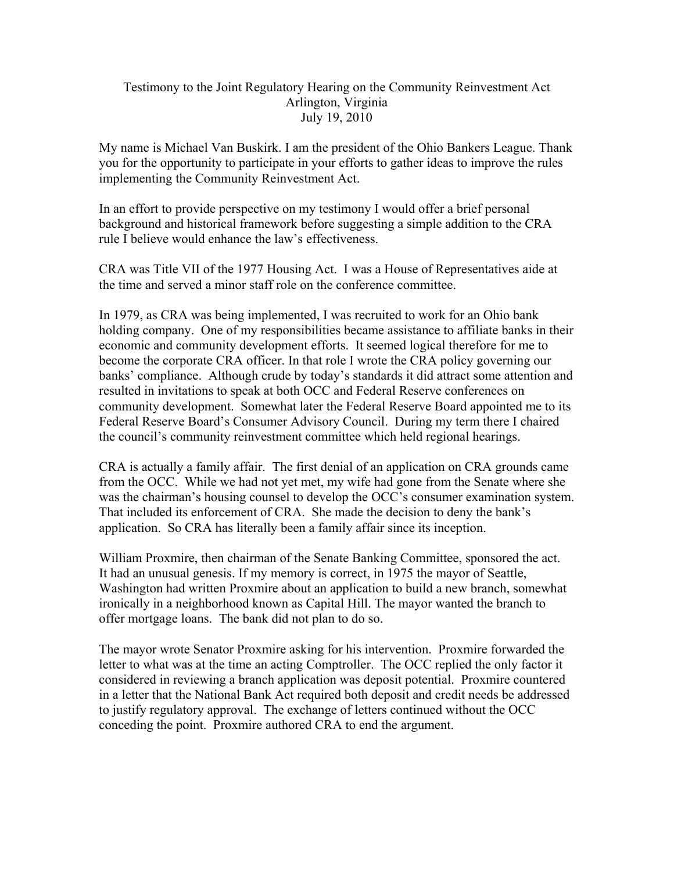## Testimony to the Joint Regulatory Hearing on the Community Reinvestment Act Arlington, Virginia July 19, 2010

My name is Michael Van Buskirk. I am the president of the Ohio Bankers League. Thank you for the opportunity to participate in your efforts to gather ideas to improve the rules implementing the Community Reinvestment Act.

In an effort to provide perspective on my testimony I would offer a brief personal background and historical framework before suggesting a simple addition to the CRA rule I believe would enhance the law's effectiveness.

CRA was Title VII of the 1977 Housing Act. I was a House of Representatives aide at the time and served a minor staff role on the conference committee.

In 1979, as CRA was being implemented, I was recruited to work for an Ohio bank holding company. One of my responsibilities became assistance to affiliate banks in their economic and community development efforts. It seemed logical therefore for me to become the corporate CRA officer. In that role I wrote the CRA policy governing our banks' compliance. Although crude by today's standards it did attract some attention and resulted in invitations to speak at both OCC and Federal Reserve conferences on community development. Somewhat later the Federal Reserve Board appointed me to its Federal Reserve Board's Consumer Advisory Council. During my term there I chaired the council's community reinvestment committee which held regional hearings.

CRA is actually a family affair. The first denial of an application on CRA grounds came from the OCC. While we had not yet met, my wife had gone from the Senate where she was the chairman's housing counsel to develop the OCC's consumer examination system. That included its enforcement of CRA. She made the decision to deny the bank's application. So CRA has literally been a family affair since its inception.

William Proxmire, then chairman of the Senate Banking Committee, sponsored the act. It had an unusual genesis. If my memory is correct, in 1975 the mayor of Seattle, Washington had written Proxmire about an application to build a new branch, somewhat ironically in a neighborhood known as Capital Hill. The mayor wanted the branch to offer mortgage loans. The bank did not plan to do so.

The mayor wrote Senator Proxmire asking for his intervention. Proxmire forwarded the letter to what was at the time an acting Comptroller. The OCC replied the only factor it considered in reviewing a branch application was deposit potential. Proxmire countered in a letter that the National Bank Act required both deposit and credit needs be addressed to justify regulatory approval. The exchange of letters continued without the OCC conceding the point. Proxmire authored CRA to end the argument.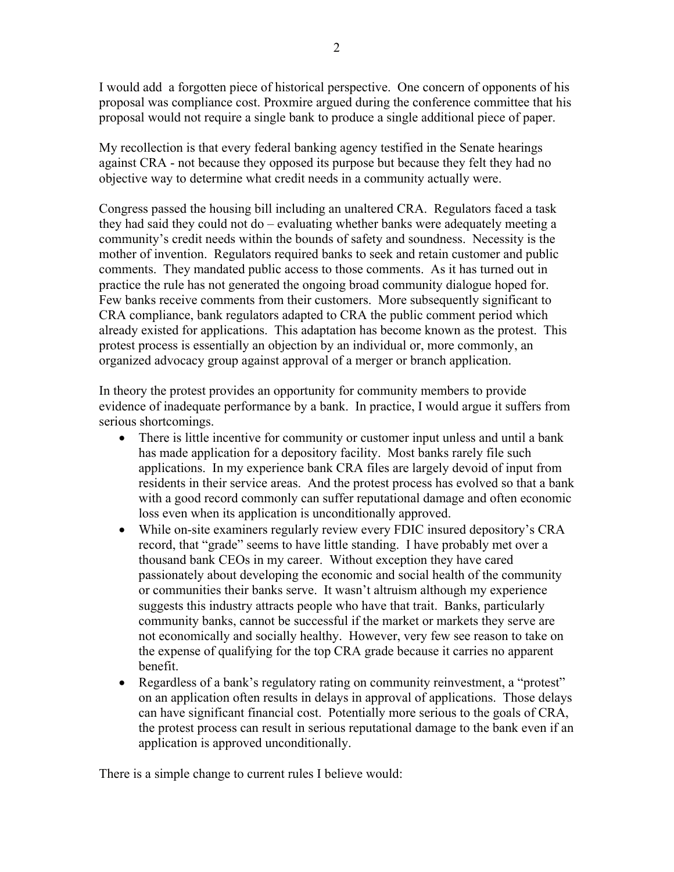I would add a forgotten piece of historical perspective. One concern of opponents of his proposal was compliance cost. Proxmire argued during the conference committee that his proposal would not require a single bank to produce a single additional piece of paper.

My recollection is that every federal banking agency testified in the Senate hearings against CRA - not because they opposed its purpose but because they felt they had no objective way to determine what credit needs in a community actually were.

Congress passed the housing bill including an unaltered CRA. Regulators faced a task they had said they could not do – evaluating whether banks were adequately meeting a community's credit needs within the bounds of safety and soundness. Necessity is the mother of invention. Regulators required banks to seek and retain customer and public comments. They mandated public access to those comments. As it has turned out in practice the rule has not generated the ongoing broad community dialogue hoped for. Few banks receive comments from their customers. More subsequently significant to CRA compliance, bank regulators adapted to CRA the public comment period which already existed for applications. This adaptation has become known as the protest. This protest process is essentially an objection by an individual or, more commonly, an organized advocacy group against approval of a merger or branch application.

In theory the protest provides an opportunity for community members to provide evidence of inadequate performance by a bank. In practice, I would argue it suffers from serious shortcomings.

- There is little incentive for community or customer input unless and until a bank has made application for a depository facility. Most banks rarely file such applications. In my experience bank CRA files are largely devoid of input from residents in their service areas. And the protest process has evolved so that a bank with a good record commonly can suffer reputational damage and often economic loss even when its application is unconditionally approved.
- While on-site examiners regularly review every FDIC insured depository's CRA record, that "grade" seems to have little standing. I have probably met over a thousand bank CEOs in my career. Without exception they have cared passionately about developing the economic and social health of the community or communities their banks serve. It wasn't altruism although my experience suggests this industry attracts people who have that trait. Banks, particularly community banks, cannot be successful if the market or markets they serve are not economically and socially healthy. However, very few see reason to take on the expense of qualifying for the top CRA grade because it carries no apparent benefit.
- Regardless of a bank's regulatory rating on community reinvestment, a "protest" on an application often results in delays in approval of applications. Those delays can have significant financial cost. Potentially more serious to the goals of CRA, the protest process can result in serious reputational damage to the bank even if an application is approved unconditionally.

There is a simple change to current rules I believe would: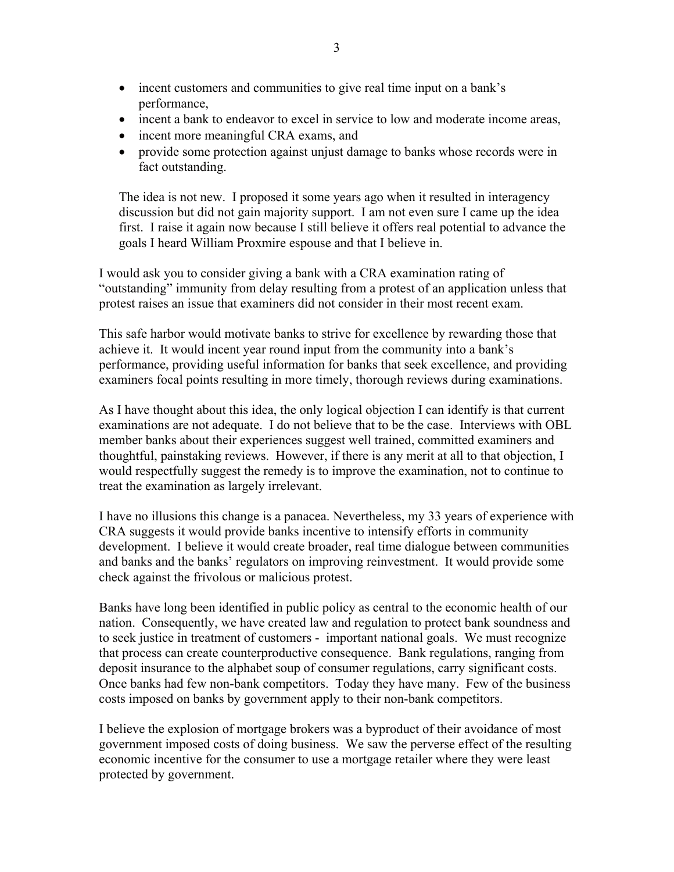- incent customers and communities to give real time input on a bank's performance,
- incent a bank to endeavor to excel in service to low and moderate income areas,
- incent more meaningful CRA exams, and
- provide some protection against unjust damage to banks whose records were in fact outstanding.

The idea is not new. I proposed it some years ago when it resulted in interagency discussion but did not gain majority support. I am not even sure I came up the idea first. I raise it again now because I still believe it offers real potential to advance the goals I heard William Proxmire espouse and that I believe in.

I would ask you to consider giving a bank with a CRA examination rating of "outstanding" immunity from delay resulting from a protest of an application unless that protest raises an issue that examiners did not consider in their most recent exam.

This safe harbor would motivate banks to strive for excellence by rewarding those that achieve it. It would incent year round input from the community into a bank's performance, providing useful information for banks that seek excellence, and providing examiners focal points resulting in more timely, thorough reviews during examinations.

As I have thought about this idea, the only logical objection I can identify is that current examinations are not adequate. I do not believe that to be the case. Interviews with OBL member banks about their experiences suggest well trained, committed examiners and thoughtful, painstaking reviews. However, if there is any merit at all to that objection, I would respectfully suggest the remedy is to improve the examination, not to continue to treat the examination as largely irrelevant.

I have no illusions this change is a panacea. Nevertheless, my 33 years of experience with CRA suggests it would provide banks incentive to intensify efforts in community development. I believe it would create broader, real time dialogue between communities and banks and the banks' regulators on improving reinvestment. It would provide some check against the frivolous or malicious protest.

Banks have long been identified in public policy as central to the economic health of our nation. Consequently, we have created law and regulation to protect bank soundness and to seek justice in treatment of customers - important national goals. We must recognize that process can create counterproductive consequence. Bank regulations, ranging from deposit insurance to the alphabet soup of consumer regulations, carry significant costs. Once banks had few non-bank competitors. Today they have many. Few of the business costs imposed on banks by government apply to their non-bank competitors.

I believe the explosion of mortgage brokers was a byproduct of their avoidance of most government imposed costs of doing business. We saw the perverse effect of the resulting economic incentive for the consumer to use a mortgage retailer where they were least protected by government.